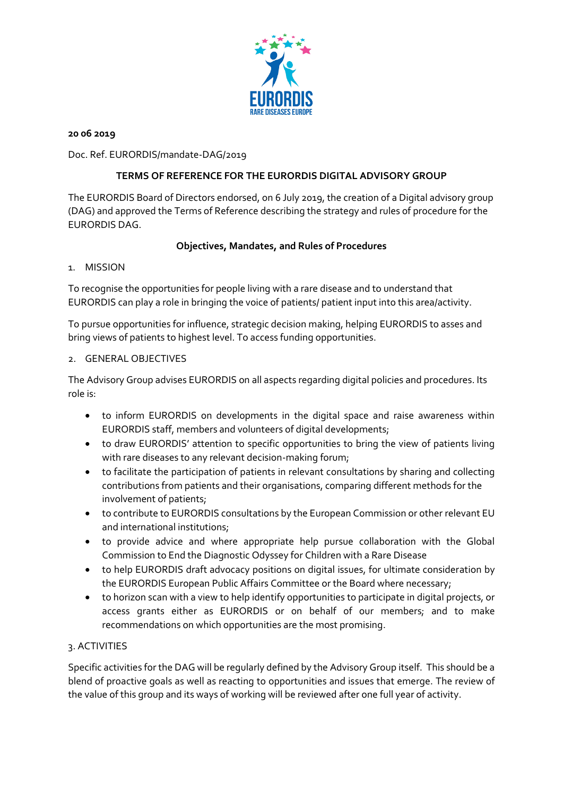

### **20 06 2019**

Doc. Ref. EURORDIS/mandate-DAG/2019

# **TERMS OF REFERENCE FOR THE EURORDIS DIGITAL ADVISORY GROUP**

The EURORDIS Board of Directors endorsed, on 6 July 2019, the creation of a Digital advisory group (DAG) and approved the Terms of Reference describing the strategy and rules of procedure for the EURORDIS DAG.

# **Objectives, Mandates, and Rules of Procedures**

## 1. MISSION

To recognise the opportunities for people living with a rare disease and to understand that EURORDIS can play a role in bringing the voice of patients/ patient input into this area/activity.

To pursue opportunities for influence, strategic decision making, helping EURORDIS to asses and bring views of patients to highest level. To access funding opportunities.

## 2. GENERAL OBJECTIVES

The Advisory Group advises EURORDIS on all aspects regarding digital policies and procedures. Its role is:

- to inform EURORDIS on developments in the digital space and raise awareness within EURORDIS staff, members and volunteers of digital developments;
- to draw EURORDIS' attention to specific opportunities to bring the view of patients living with rare diseases to any relevant decision-making forum;
- to facilitate the participation of patients in relevant consultations by sharing and collecting contributions from patients and their organisations, comparing different methods for the involvement of patients;
- to contribute to EURORDIS consultations by the European Commission or other relevant EU and international institutions;
- to provide advice and where appropriate help pursue collaboration with the Global Commission to End the Diagnostic Odyssey for Children with a Rare Disease
- to help EURORDIS draft advocacy positions on digital issues, for ultimate consideration by the EURORDIS European Public Affairs Committee or the Board where necessary;
- to horizon scan with a view to help identify opportunities to participate in digital projects, or access grants either as EURORDIS or on behalf of our members; and to make recommendations on which opportunities are the most promising.

# 3. ACTIVITIES

Specific activities for the DAG will be regularly defined by the Advisory Group itself. This should be a blend of proactive goals as well as reacting to opportunities and issues that emerge. The review of the value of this group and its ways of working will be reviewed after one full year of activity.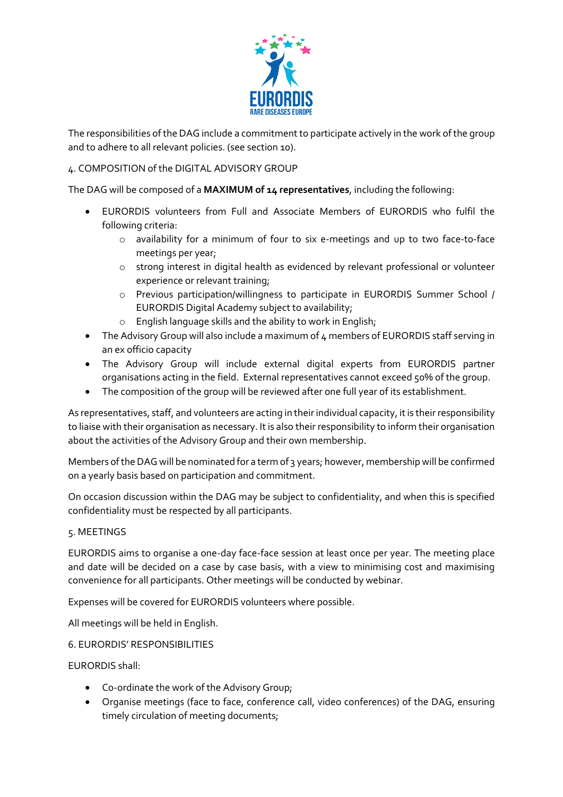

The responsibilities of the DAG include a commitment to participate actively in the work of the group and to adhere to all relevant policies. (see section 10).

## 4. COMPOSITION of the DIGITAL ADVISORY GROUP

The DAG will be composed of a **MAXIMUM of 14 representatives**, including the following:

- EURORDIS volunteers from Full and Associate Members of EURORDIS who fulfil the following criteria:
	- o availability for a minimum of four to six e-meetings and up to two face-to-face meetings per year;
	- o strong interest in digital health as evidenced by relevant professional or volunteer experience or relevant training;
	- o Previous participation/willingness to participate in EURORDIS Summer School / EURORDIS Digital Academy subject to availability;
	- o English language skills and the ability to work in English;
- The Advisory Group will also include a maximum of 4 members of EURORDIS staff serving in an ex officio capacity
- The Advisory Group will include external digital experts from EURORDIS partner organisations acting in the field. External representatives cannot exceed 50% of the group.
- The composition of the group will be reviewed after one full year of its establishment.

As representatives, staff, and volunteers are acting in their individual capacity, it is their responsibility to liaise with their organisation as necessary. It is also their responsibility to inform their organisation about the activities of the Advisory Group and their own membership.

Members of the DAG will be nominated for a term of 3 years; however, membership will be confirmed on a yearly basis based on participation and commitment.

On occasion discussion within the DAG may be subject to confidentiality, and when this is specified confidentiality must be respected by all participants.

#### 5. MEETINGS

EURORDIS aims to organise a one-day face-face session at least once per year. The meeting place and date will be decided on a case by case basis, with a view to minimising cost and maximising convenience for all participants. Other meetings will be conducted by webinar.

Expenses will be covered for EURORDIS volunteers where possible.

All meetings will be held in English.

## 6. EURORDIS' RESPONSIBILITIES

EURORDIS shall:

- Co-ordinate the work of the Advisory Group;
- Organise meetings (face to face, conference call, video conferences) of the DAG, ensuring timely circulation of meeting documents;